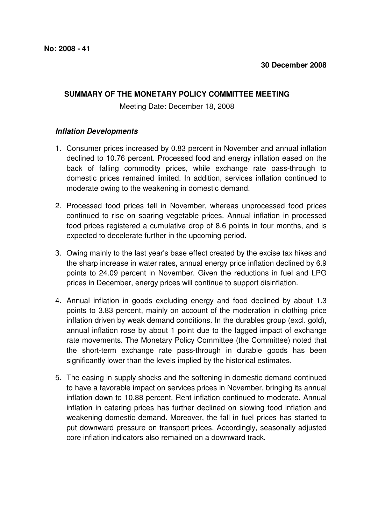## **SUMMARY OF THE MONETARY POLICY COMMITTEE MEETING**

Meeting Date: December 18, 2008

## **Inflation Developments**

- 1. Consumer prices increased by 0.83 percent in November and annual inflation declined to 10.76 percent. Processed food and energy inflation eased on the back of falling commodity prices, while exchange rate pass-through to domestic prices remained limited. In addition, services inflation continued to moderate owing to the weakening in domestic demand.
- 2. Processed food prices fell in November, whereas unprocessed food prices continued to rise on soaring vegetable prices. Annual inflation in processed food prices registered a cumulative drop of 8.6 points in four months, and is expected to decelerate further in the upcoming period.
- 3. Owing mainly to the last year's base effect created by the excise tax hikes and the sharp increase in water rates, annual energy price inflation declined by 6.9 points to 24.09 percent in November. Given the reductions in fuel and LPG prices in December, energy prices will continue to support disinflation.
- 4. Annual inflation in goods excluding energy and food declined by about 1.3 points to 3.83 percent, mainly on account of the moderation in clothing price inflation driven by weak demand conditions. In the durables group (excl. gold), annual inflation rose by about 1 point due to the lagged impact of exchange rate movements. The Monetary Policy Committee (the Committee) noted that the short-term exchange rate pass-through in durable goods has been significantly lower than the levels implied by the historical estimates.
- 5. The easing in supply shocks and the softening in domestic demand continued to have a favorable impact on services prices in November, bringing its annual inflation down to 10.88 percent. Rent inflation continued to moderate. Annual inflation in catering prices has further declined on slowing food inflation and weakening domestic demand. Moreover, the fall in fuel prices has started to put downward pressure on transport prices. Accordingly, seasonally adjusted core inflation indicators also remained on a downward track.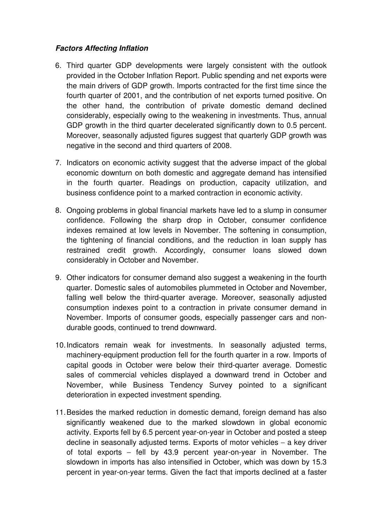## **Factors Affecting Inflation**

- 6. Third quarter GDP developments were largely consistent with the outlook provided in the October Inflation Report. Public spending and net exports were the main drivers of GDP growth. Imports contracted for the first time since the fourth quarter of 2001, and the contribution of net exports turned positive. On the other hand, the contribution of private domestic demand declined considerably, especially owing to the weakening in investments. Thus, annual GDP growth in the third quarter decelerated significantly down to 0.5 percent. Moreover, seasonally adjusted figures suggest that quarterly GDP growth was negative in the second and third quarters of 2008.
- 7. Indicators on economic activity suggest that the adverse impact of the global economic downturn on both domestic and aggregate demand has intensified in the fourth quarter. Readings on production, capacity utilization, and business confidence point to a marked contraction in economic activity.
- 8. Ongoing problems in global financial markets have led to a slump in consumer confidence. Following the sharp drop in October, consumer confidence indexes remained at low levels in November. The softening in consumption, the tightening of financial conditions, and the reduction in loan supply has restrained credit growth. Accordingly, consumer loans slowed down considerably in October and November.
- 9. Other indicators for consumer demand also suggest a weakening in the fourth quarter. Domestic sales of automobiles plummeted in October and November, falling well below the third-quarter average. Moreover, seasonally adjusted consumption indexes point to a contraction in private consumer demand in November. Imports of consumer goods, especially passenger cars and nondurable goods, continued to trend downward.
- 10. Indicators remain weak for investments. In seasonally adjusted terms, machinery-equipment production fell for the fourth quarter in a row. Imports of capital goods in October were below their third-quarter average. Domestic sales of commercial vehicles displayed a downward trend in October and November, while Business Tendency Survey pointed to a significant deterioration in expected investment spending.
- 11. Besides the marked reduction in domestic demand, foreign demand has also significantly weakened due to the marked slowdown in global economic activity. Exports fell by 6.5 percent year-on-year in October and posted a steep decline in seasonally adjusted terms. Exports of motor vehicles – a key driver of total exports – fell by 43.9 percent year-on-year in November. The slowdown in imports has also intensified in October, which was down by 15.3 percent in year-on-year terms. Given the fact that imports declined at a faster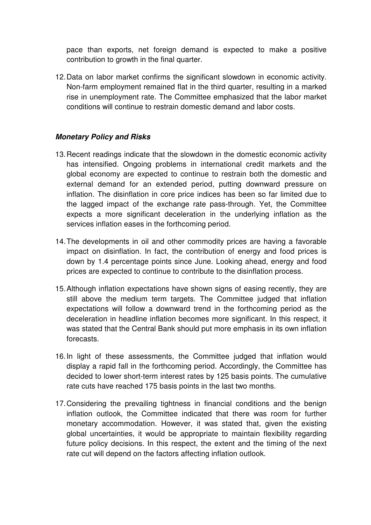pace than exports, net foreign demand is expected to make a positive contribution to growth in the final quarter.

12. Data on labor market confirms the significant slowdown in economic activity. Non-farm employment remained flat in the third quarter, resulting in a marked rise in unemployment rate. The Committee emphasized that the labor market conditions will continue to restrain domestic demand and labor costs.

## **Monetary Policy and Risks**

- 13. Recent readings indicate that the slowdown in the domestic economic activity has intensified. Ongoing problems in international credit markets and the global economy are expected to continue to restrain both the domestic and external demand for an extended period, putting downward pressure on inflation. The disinflation in core price indices has been so far limited due to the lagged impact of the exchange rate pass-through. Yet, the Committee expects a more significant deceleration in the underlying inflation as the services inflation eases in the forthcoming period.
- 14. The developments in oil and other commodity prices are having a favorable impact on disinflation. In fact, the contribution of energy and food prices is down by 1.4 percentage points since June. Looking ahead, energy and food prices are expected to continue to contribute to the disinflation process.
- 15. Although inflation expectations have shown signs of easing recently, they are still above the medium term targets. The Committee judged that inflation expectations will follow a downward trend in the forthcoming period as the deceleration in headline inflation becomes more significant. In this respect, it was stated that the Central Bank should put more emphasis in its own inflation forecasts.
- 16. In light of these assessments, the Committee judged that inflation would display a rapid fall in the forthcoming period. Accordingly, the Committee has decided to lower short-term interest rates by 125 basis points. The cumulative rate cuts have reached 175 basis points in the last two months.
- 17. Considering the prevailing tightness in financial conditions and the benign inflation outlook, the Committee indicated that there was room for further monetary accommodation. However, it was stated that, given the existing global uncertainties, it would be appropriate to maintain flexibility regarding future policy decisions. In this respect, the extent and the timing of the next rate cut will depend on the factors affecting inflation outlook.